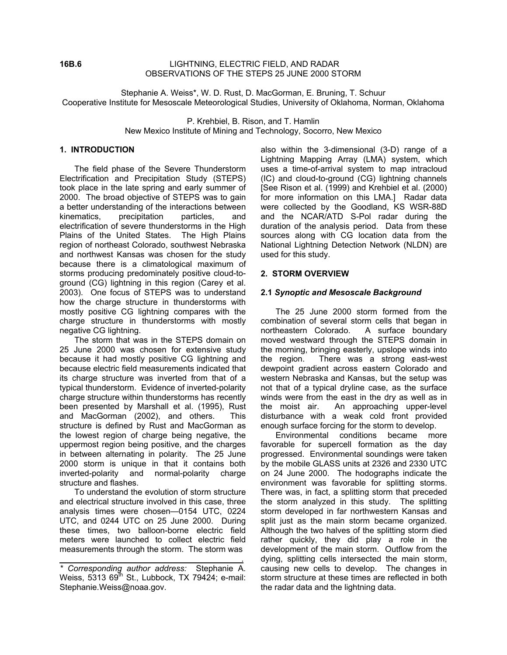### **16B.6** LIGHTNING, ELECTRIC FIELD, AND RADAR OBSERVATIONS OF THE STEPS 25 JUNE 2000 STORM

Stephanie A. Weiss\*, W. D. Rust, D. MacGorman, E. Bruning, T. Schuur Cooperative Institute for Mesoscale Meteorological Studies, University of Oklahoma, Norman, Oklahoma

> P. Krehbiel, B. Rison, and T. Hamlin New Mexico Institute of Mining and Technology, Socorro, New Mexico

# **1. INTRODUCTION**

The field phase of the Severe Thunderstorm Electrification and Precipitation Study (STEPS) took place in the late spring and early summer of 2000. The broad objective of STEPS was to gain a better understanding of the interactions between kinematics, precipitation particles, and electrification of severe thunderstorms in the High Plains of the United States. The High Plains region of northeast Colorado, southwest Nebraska and northwest Kansas was chosen for the study because there is a climatological maximum of storms producing predominately positive cloud-toground (CG) lightning in this region (Carey et al. 2003). One focus of STEPS was to understand how the charge structure in thunderstorms with mostly positive CG lightning compares with the charge structure in thunderstorms with mostly negative CG lightning.

The storm that was in the STEPS domain on 25 June 2000 was chosen for extensive study because it had mostly positive CG lightning and because electric field measurements indicated that its charge structure was inverted from that of a typical thunderstorm. Evidence of inverted-polarity charge structure within thunderstorms has recently been presented by Marshall et al. (1995), Rust and MacGorman (2002), and others. This structure is defined by Rust and MacGorman as the lowest region of charge being negative, the uppermost region being positive, and the charges in between alternating in polarity. The 25 June 2000 storm is unique in that it contains both inverted-polarity and normal-polarity charge structure and flashes.

To understand the evolution of storm structure and electrical structure involved in this case, three analysis times were chosen—0154 UTC, 0224 UTC, and 0244 UTC on 25 June 2000. During these times, two balloon-borne electric field meters were launched to collect electric field measurements through the storm. The storm was

<u>. Andre Stadt i den stadt i den stadt i den stadt i den stadt i den stadt i den stadt i den stadt i den stadt</u>

also within the 3-dimensional (3-D) range of a Lightning Mapping Array (LMA) system, which uses a time-of-arrival system to map intracloud (IC) and cloud-to-ground (CG) lightning channels [See Rison et al. (1999) and Krehbiel et al. (2000) for more information on this LMA.] Radar data were collected by the Goodland, KS WSR-88D and the NCAR/ATD S-Pol radar during the duration of the analysis period. Data from these sources along with CG location data from the National Lightning Detection Network (NLDN) are used for this study.

# **2. STORM OVERVIEW**

### **2.1** *Synoptic and Mesoscale Background*

The 25 June 2000 storm formed from the combination of several storm cells that began in northeastern Colorado. A surface boundary moved westward through the STEPS domain in the morning, bringing easterly, upslope winds into the region. There was a strong east-west dewpoint gradient across eastern Colorado and western Nebraska and Kansas, but the setup was not that of a typical dryline case, as the surface winds were from the east in the dry as well as in the moist air. An approaching upper-level disturbance with a weak cold front provided enough surface forcing for the storm to develop.

Environmental conditions became more favorable for supercell formation as the day progressed. Environmental soundings were taken by the mobile GLASS units at 2326 and 2330 UTC on 24 June 2000. The hodographs indicate the environment was favorable for splitting storms. There was, in fact, a splitting storm that preceded the storm analyzed in this study. The splitting storm developed in far northwestern Kansas and split just as the main storm became organized. Although the two halves of the splitting storm died rather quickly, they did play a role in the development of the main storm. Outflow from the dying, splitting cells intersected the main storm, causing new cells to develop. The changes in storm structure at these times are reflected in both the radar data and the lightning data.

*<sup>\*</sup> Corresponding author address:* Stephanie A. Weiss,  $5313$   $69^{\text{th}}$  St., Lubbock, TX 79424; e-mail: Stephanie.Weiss@noaa.gov.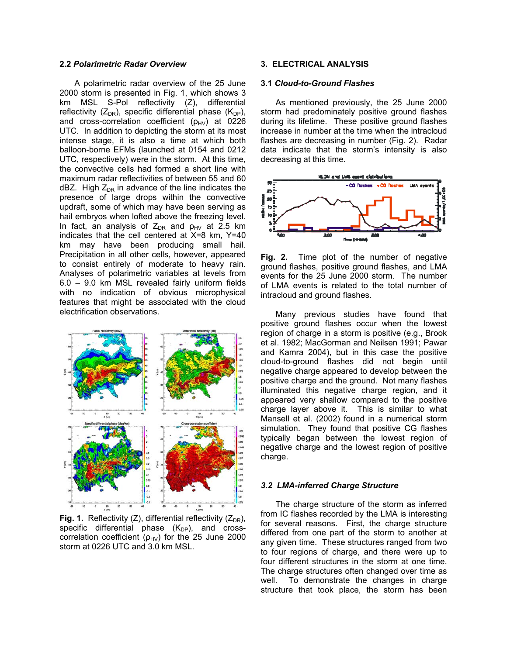#### **2.2** *Polarimetric Radar Overview*

A polarimetric radar overview of the 25 June 2000 storm is presented in Fig. 1, which shows 3 km MSL S-Pol reflectivity (Z), differential reflectivity ( $Z_{DR}$ ), specific differential phase ( $K_{DP}$ ), and cross-correlation coefficient  $(p_{HV})$  at 0226 UTC. In addition to depicting the storm at its most intense stage, it is also a time at which both balloon-borne EFMs (launched at 0154 and 0212 UTC, respectively) were in the storm. At this time, the convective cells had formed a short line with maximum radar reflectivities of between 55 and 60 dBZ. High  $Z_{DR}$  in advance of the line indicates the presence of large drops within the convective updraft, some of which may have been serving as hail embryos when lofted above the freezing level. In fact, an analysis of  $Z_{DR}$  and  $\rho_{HV}$  at 2.5 km indicates that the cell centered at X=8 km, Y=40 km may have been producing small hail. Precipitation in all other cells, however, appeared to consist entirely of moderate to heavy rain. Analyses of polarimetric variables at levels from 6.0 – 9.0 km MSL revealed fairly uniform fields with no indication of obvious microphysical features that might be associated with the cloud electrification observations.



**Fig. 1.** Reflectivity (Z), differential reflectivity ( $Z_{DR}$ ), specific differential phase  $(K_{DP})$ , and crosscorrelation coefficient ( $\rho_{HV}$ ) for the 25 June 2000 storm at 0226 UTC and 3.0 km MSL.

# **3. ELECTRICAL ANALYSIS**

#### **3.1** *Cloud-to-Ground Flashes*

As mentioned previously, the 25 June 2000 storm had predominately positive ground flashes during its lifetime. These positive ground flashes increase in number at the time when the intracloud flashes are decreasing in number (Fig. 2). Radar data indicate that the storm's intensity is also decreasing at this time.



**Fig. 2.** Time plot of the number of negative ground flashes, positive ground flashes, and LMA events for the 25 June 2000 storm. The number of LMA events is related to the total number of intracloud and ground flashes.

Many previous studies have found that positive ground flashes occur when the lowest region of charge in a storm is positive (e.g., Brook et al. 1982; MacGorman and Neilsen 1991; Pawar and Kamra 2004), but in this case the positive cloud-to-ground flashes did not begin until negative charge appeared to develop between the positive charge and the ground. Not many flashes illuminated this negative charge region, and it appeared very shallow compared to the positive charge layer above it. This is similar to what Mansell et al. (2002) found in a numerical storm simulation. They found that positive CG flashes typically began between the lowest region of negative charge and the lowest region of positive charge.

#### *3.2 LMA-inferred Charge Structure*

The charge structure of the storm as inferred from IC flashes recorded by the LMA is interesting for several reasons. First, the charge structure differed from one part of the storm to another at any given time. These structures ranged from two to four regions of charge, and there were up to four different structures in the storm at one time. The charge structures often changed over time as well. To demonstrate the changes in charge structure that took place, the storm has been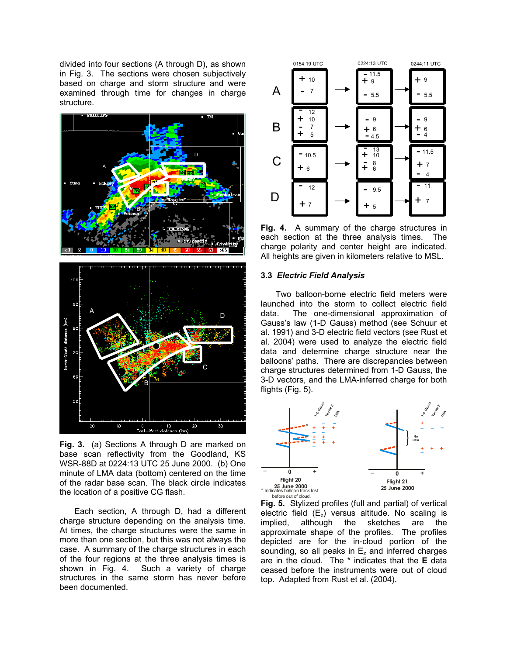divided into four sections (A through D), as shown in Fig. 3. The sections were chosen subjectively based on charge and storm structure and were examined through time for changes in charge structure.



**Fig. 3.** (a) Sections A through D are marked on base scan reflectivity from the Goodland, KS WSR-88D at 0224:13 UTC 25 June 2000. (b) One minute of LMA data (bottom) centered on the time of the radar base scan. The black circle indicates the location of a positive CG flash.

Each section, A through D, had a different charge structure depending on the analysis time. At times, the charge structures were the same in more than one section, but this was not always the case. A summary of the charge structures in each of the four regions at the three analysis times is shown in Fig. 4. Such a variety of charge Such a variety of charge structures in the same storm has never before been documented.



**Fig. 4.** A summary of the charge structures in each section at the three analysis times. The charge polarity and center height are indicated. All heights are given in kilometers relative to MSL.

#### **3.3** *Electric Field Analysis*

Two balloon-borne electric field meters were launched into the storm to collect electric field data. The one-dimensional approximation of Gauss's law (1-D Gauss) method (see Schuur et al. 1991) and 3-D electric field vectors (see Rust et al. 2004) were used to analyze the electric field data and determine charge structure near the balloons' paths. There are discrepancies between charge structures determined from 1-D Gauss, the 3-D vectors, and the LMA-inferred charge for both flights (Fig. 5).



**Fig. 5.** Stylized profiles (full and partial) of vertical electric field  $(E_z)$  versus altitude. No scaling is implied, although the sketches are the although the sketches are the approximate shape of the profiles. The profiles depicted are for the in-cloud portion of the sounding, so all peaks in  $E<sub>z</sub>$  and inferred charges are in the cloud. The \* indicates that the **E** data ceased before the instruments were out of cloud top. Adapted from Rust et al. (2004).